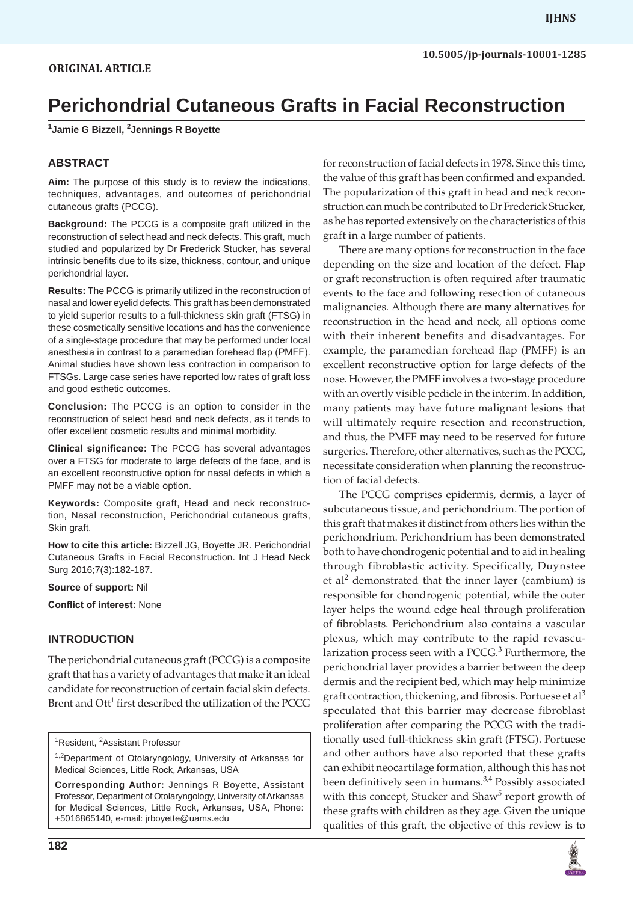**1 Jamie G Bizzell, 2 Jennings R Boyette**

# **ABSTRACT**

**Aim:** The purpose of this study is to review the indications, techniques, advantages, and outcomes of perichondrial cutaneous grafts (PCCG).

**Background:** The PCCG is a composite graft utilized in the reconstruction of select head and neck defects. This graft, much studied and popularized by Dr Frederick Stucker, has several intrinsic benefits due to its size, thickness, contour, and unique perichondrial layer.

**Results:** The PCCG is primarily utilized in the reconstruction of nasal and lower eyelid defects. This graft has been demonstrated to yield superior results to a full-thickness skin graft (FTSG) in these cosmetically sensitive locations and has the convenience of a single-stage procedure that may be performed under local anesthesia in contrast to a paramedian forehead flap (PMFF). Animal studies have shown less contraction in comparison to FTSGs. Large case series have reported low rates of graft loss and good esthetic outcomes.

**Conclusion:** The PCCG is an option to consider in the reconstruction of select head and neck defects, as it tends to offer excellent cosmetic results and minimal morbidity.

**Clinical significance:** The PCCG has several advantages over a FTSG for moderate to large defects of the face, and is an excellent reconstructive option for nasal defects in which a PMFF may not be a viable option.

**Keywords:** Composite graft, Head and neck reconstruction, Nasal reconstruction, Perichondrial cutaneous grafts, Skin graft.

**How to cite this article:** Bizzell JG, Boyette JR. Perichondrial Cutaneous Grafts in Facial Reconstruction. Int J Head Neck Surg 2016;7(3):182-187.

**Source of support:** Nil

**Conflict of interest:** None

# **INTRODUCTION**

The perichondrial cutaneous graft (PCCG) is a composite graft that has a variety of advantages that make it an ideal candidate for reconstruction of certain facial skin defects. Brent and Ott<sup>1</sup> first described the utilization of the PCCG

<sup>1</sup>Resident, <sup>2</sup>Assistant Professor

for reconstruction of facial defects in 1978. Since this time, the value of this graft has been confirmed and expanded. The popularization of this graft in head and neck reconstruction can much be contributed to Dr Frederick Stucker, as he has reported extensively on the characteristics of this graft in a large number of patients.

There are many options for reconstruction in the face depending on the size and location of the defect. Flap or graft reconstruction is often required after traumatic events to the face and following resection of cutaneous malignancies. Although there are many alternatives for reconstruction in the head and neck, all options come with their inherent benefits and disadvantages. For example, the paramedian forehead flap (PMFF) is an excellent reconstructive option for large defects of the nose. However, the PMFF involves a two-stage procedure with an overtly visible pedicle in the interim. In addition, many patients may have future malignant lesions that will ultimately require resection and reconstruction, and thus, the PMFF may need to be reserved for future surgeries. Therefore, other alternatives, such as the PCCG, necessitate consideration when planning the reconstruction of facial defects.

The PCCG comprises epidermis, dermis, a layer of subcutaneous tissue, and perichondrium. The portion of this graft that makes it distinct from others lies within the perichondrium. Perichondrium has been demonstrated both to have chondrogenic potential and to aid in healing through fibroblastic activity. Specifically, Duynstee et al<sup>2</sup> demonstrated that the inner layer (cambium) is responsible for chondrogenic potential, while the outer layer helps the wound edge heal through proliferation of fibroblasts. Perichondrium also contains a vascular plexus, which may contribute to the rapid revascularization process seen with a PCCG.<sup>3</sup> Furthermore, the perichondrial layer provides a barrier between the deep dermis and the recipient bed, which may help minimize graft contraction, thickening, and fibrosis. Portuese et al<sup>3</sup> speculated that this barrier may decrease fibroblast proliferation after comparing the PCCG with the traditionally used full-thickness skin graft (FTSG). Portuese and other authors have also reported that these grafts can exhibit neocartilage formation, although this has not been definitively seen in humans.<sup>3,4</sup> Possibly associated with this concept, Stucker and Shaw<sup>5</sup> report growth of these grafts with children as they age. Given the unique qualities of this graft, the objective of this review is to



<sup>&</sup>lt;sup>1,2</sup>Department of Otolaryngology, University of Arkansas for Medical Sciences, Little Rock, Arkansas, USA

**Corresponding Author:** Jennings R Boyette, Assistant Professor, Department of Otolaryngology, University of Arkansas for Medical Sciences, Little Rock, Arkansas, USA, Phone: +5016865140, e-mail: jrboyette@uams.edu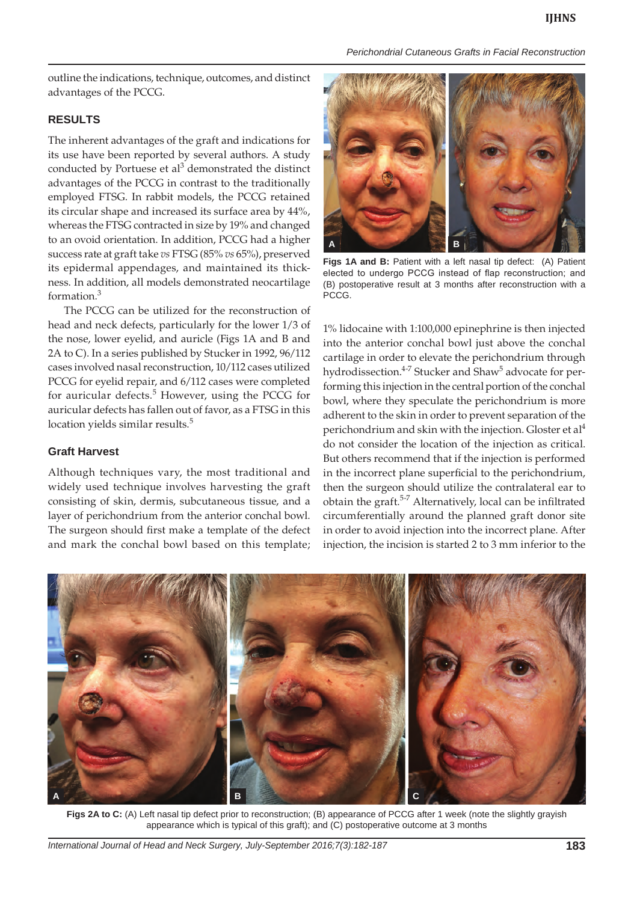outline the indications, technique, outcomes, and distinct advantages of the PCCG.

## **RESULTS**

The inherent advantages of the graft and indications for its use have been reported by several authors. A study conducted by Portuese et al<sup>3</sup> demonstrated the distinct advantages of the PCCG in contrast to the traditionally employed FTSG. In rabbit models, the PCCG retained its circular shape and increased its surface area by 44%, whereas the FTSG contracted in size by 19% and changed to an ovoid orientation. In addition, PCCG had a higher success rate at graft take *vs* FTSG (85% *vs* 65%), preserved its epidermal appendages, and maintained its thickness. In addition, all models demonstrated neocartilage formation.<sup>3</sup>

The PCCG can be utilized for the reconstruction of head and neck defects, particularly for the lower 1/3 of the nose, lower eyelid, and auricle (Figs 1A and B and 2A to C). In a series published by Stucker in 1992, 96/112 cases involved nasal reconstruction, 10/112 cases utilized PCCG for eyelid repair, and 6/112 cases were completed for auricular defects.<sup>5</sup> However, using the PCCG for auricular defects has fallen out of favor, as a FTSG in this location yields similar results.<sup>5</sup>

## **Graft Harvest**

Although techniques vary, the most traditional and widely used technique involves harvesting the graft consisting of skin, dermis, subcutaneous tissue, and a layer of perichondrium from the anterior conchal bowl. The surgeon should first make a template of the defect and mark the conchal bowl based on this template;



**Figs 1A and B:** Patient with a left nasal tip defect: (A) Patient elected to undergo PCCG instead of flap reconstruction; and (B) postoperative result at 3 months after reconstruction with a PCCG.

1% lidocaine with 1:100,000 epinephrine is then injected into the anterior conchal bowl just above the conchal cartilage in order to elevate the perichondrium through hydrodissection.<sup>4-7</sup> Stucker and Shaw<sup>5</sup> advocate for performing this injection in the central portion of the conchal bowl, where they speculate the perichondrium is more adherent to the skin in order to prevent separation of the perichondrium and skin with the injection. Gloster et al<sup>4</sup> do not consider the location of the injection as critical. But others recommend that if the injection is performed in the incorrect plane superficial to the perichondrium, then the surgeon should utilize the contralateral ear to obtain the graft.<sup>5-7</sup> Alternatively, local can be infiltrated circumferentially around the planned graft donor site in order to avoid injection into the incorrect plane. After injection, the incision is started 2 to 3 mm inferior to the



**Figs 2A to C:** (A) Left nasal tip defect prior to reconstruction; (B) appearance of PCCG after 1 week (note the slightly grayish appearance which is typical of this graft); and (C) postoperative outcome at 3 months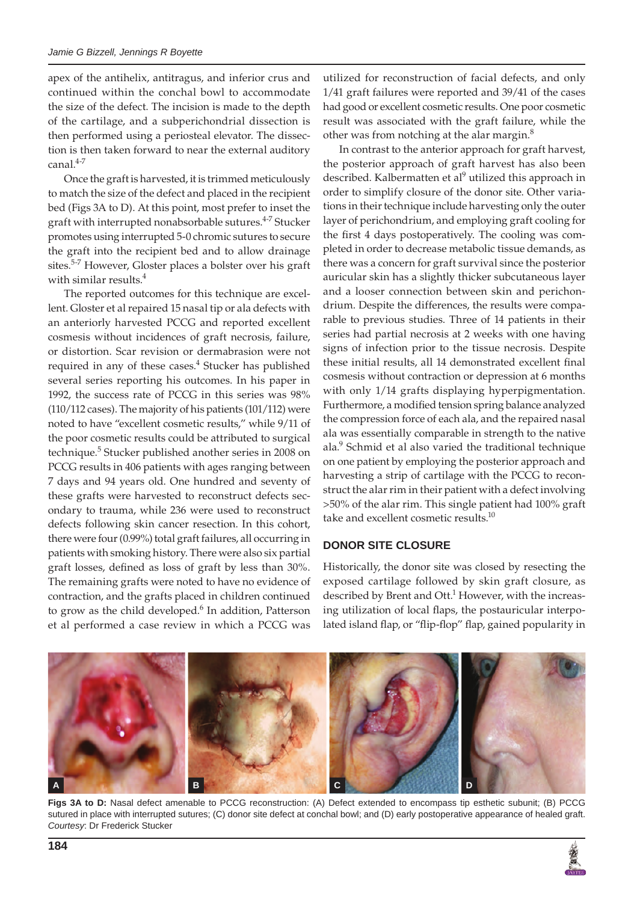apex of the antihelix, antitragus, and inferior crus and continued within the conchal bowl to accommodate the size of the defect. The incision is made to the depth of the cartilage, and a subperichondrial dissection is then performed using a periosteal elevator. The dissection is then taken forward to near the external auditory canal.<sup>4-7</sup>

Once the graft is harvested, it is trimmed meticulously to match the size of the defect and placed in the recipient bed (Figs 3A to D). At this point, most prefer to inset the graft with interrupted nonabsorbable sutures.<sup>4-7</sup> Stucker promotes using interrupted 5-0 chromic sutures to secure the graft into the recipient bed and to allow drainage sites.5-7 However, Gloster places a bolster over his graft with similar results.<sup>4</sup>

The reported outcomes for this technique are excellent. Gloster et al repaired 15 nasal tip or ala defects with an anteriorly harvested PCCG and reported excellent cosmesis without incidences of graft necrosis, failure, or distortion. Scar revision or dermabrasion were not required in any of these cases.<sup>4</sup> Stucker has published several series reporting his outcomes. In his paper in 1992, the success rate of PCCG in this series was 98% (110/112 cases). The majority of his patients (101/112) were noted to have "excellent cosmetic results," while 9/11 of the poor cosmetic results could be attributed to surgical technique.<sup>5</sup> Stucker published another series in 2008 on PCCG results in 406 patients with ages ranging between 7 days and 94 years old. One hundred and seventy of these grafts were harvested to reconstruct defects secondary to trauma, while 236 were used to reconstruct defects following skin cancer resection. In this cohort, there were four (0.99%) total graft failures, all occurring in patients with smoking history. There were also six partial graft losses, defined as loss of graft by less than 30%. The remaining grafts were noted to have no evidence of contraction, and the grafts placed in children continued to grow as the child developed.<sup>6</sup> In addition, Patterson et al performed a case review in which a PCCG was

utilized for reconstruction of facial defects, and only 1/41 graft failures were reported and 39/41 of the cases had good or excellent cosmetic results. One poor cosmetic result was associated with the graft failure, while the other was from notching at the alar margin.<sup>8</sup>

In contrast to the anterior approach for graft harvest, the posterior approach of graft harvest has also been described. Kalbermatten et al<sup>9</sup> utilized this approach in order to simplify closure of the donor site. Other variations in their technique include harvesting only the outer layer of perichondrium, and employing graft cooling for the first 4 days postoperatively. The cooling was completed in order to decrease metabolic tissue demands, as there was a concern for graft survival since the posterior auricular skin has a slightly thicker subcutaneous layer and a looser connection between skin and perichondrium. Despite the differences, the results were comparable to previous studies. Three of 14 patients in their series had partial necrosis at 2 weeks with one having signs of infection prior to the tissue necrosis. Despite these initial results, all 14 demonstrated excellent final cosmesis without contraction or depression at 6 months with only 1/14 grafts displaying hyperpigmentation. Furthermore, a modified tension spring balance analyzed the compression force of each ala, and the repaired nasal ala was essentially comparable in strength to the native ala.<sup>9</sup> Schmid et al also varied the traditional technique on one patient by employing the posterior approach and harvesting a strip of cartilage with the PCCG to reconstruct the alar rim in their patient with a defect involving >50% of the alar rim. This single patient had 100% graft take and excellent cosmetic results.<sup>10</sup>

## **DONOR SITE CLOSURE**

Historically, the donor site was closed by resecting the exposed cartilage followed by skin graft closure, as described by Brent and Ott.<sup>1</sup> However, with the increasing utilization of local flaps, the postauricular interpolated island flap, or "flip-flop" flap, gained popularity in



**Figs 3A to D:** Nasal defect amenable to PCCG reconstruction: (A) Defect extended to encompass tip esthetic subunit; (B) PCCG sutured in place with interrupted sutures; (C) donor site defect at conchal bowl; and (D) early postoperative appearance of healed graft. *Courtesy*: Dr Frederick Stucker

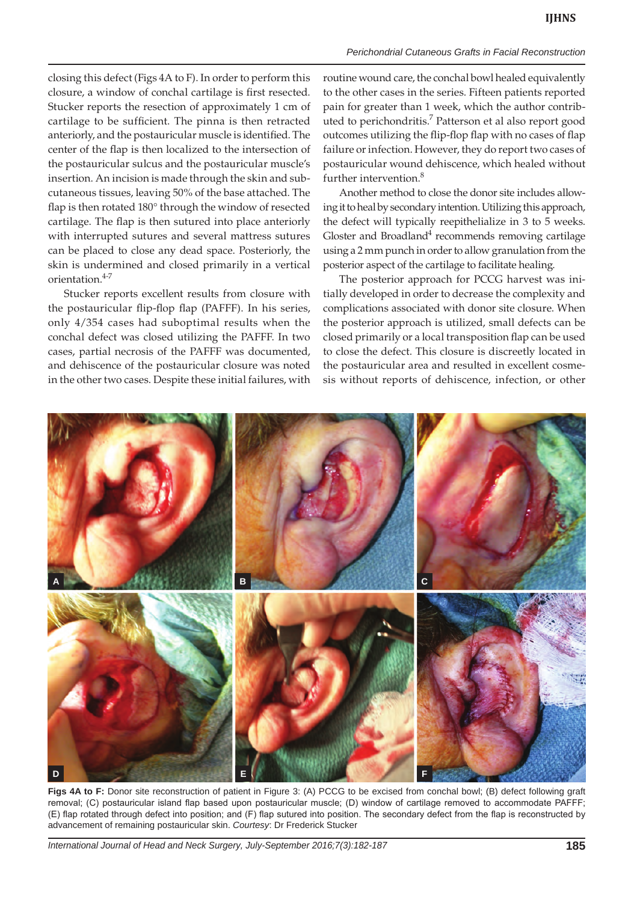closing this defect (Figs 4A to F). In order to perform this closure, a window of conchal cartilage is first resected. Stucker reports the resection of approximately 1 cm of cartilage to be sufficient. The pinna is then retracted anteriorly, and the postauricular muscle is identified. The center of the flap is then localized to the intersection of the postauricular sulcus and the postauricular muscle's insertion. An incision is made through the skin and subcutaneous tissues, leaving 50% of the base attached. The flap is then rotated 180° through the window of resected cartilage. The flap is then sutured into place anteriorly with interrupted sutures and several mattress sutures can be placed to close any dead space. Posteriorly, the skin is undermined and closed primarily in a vertical orientation.4-7

Stucker reports excellent results from closure with the postauricular flip-flop flap (PAFFF). In his series, only 4/354 cases had suboptimal results when the conchal defect was closed utilizing the PAFFF. In two cases, partial necrosis of the PAFFF was documented, and dehiscence of the postauricular closure was noted in the other two cases. Despite these initial failures, with routine wound care, the conchal bowl healed equivalently to the other cases in the series. Fifteen patients reported pain for greater than 1 week, which the author contributed to perichondritis.<sup>7</sup> Patterson et al also report good outcomes utilizing the flip-flop flap with no cases of flap failure or infection. However, they do report two cases of postauricular wound dehiscence, which healed without further intervention.<sup>8</sup>

Another method to close the donor site includes allowing it to heal by secondary intention. Utilizing this approach, the defect will typically reepithelialize in 3 to 5 weeks. Gloster and Broadland<sup>4</sup> recommends removing cartilage using a 2 mm punch in order to allow granulation from the posterior aspect of the cartilage to facilitate healing.

The posterior approach for PCCG harvest was initially developed in order to decrease the complexity and complications associated with donor site closure. When the posterior approach is utilized, small defects can be closed primarily or a local transposition flap can be used to close the defect. This closure is discreetly located in the postauricular area and resulted in excellent cosmesis without reports of dehiscence, infection, or other



**Figs 4A to F:** Donor site reconstruction of patient in Figure 3: (A) PCCG to be excised from conchal bowl; (B) defect following graft removal; (C) postauricular island flap based upon postauricular muscle; (D) window of cartilage removed to accommodate PAFFF; (E) flap rotated through defect into position; and (F) flap sutured into position. The secondary defect from the flap is reconstructed by advancement of remaining postauricular skin. *Courtesy*: Dr Frederick Stucker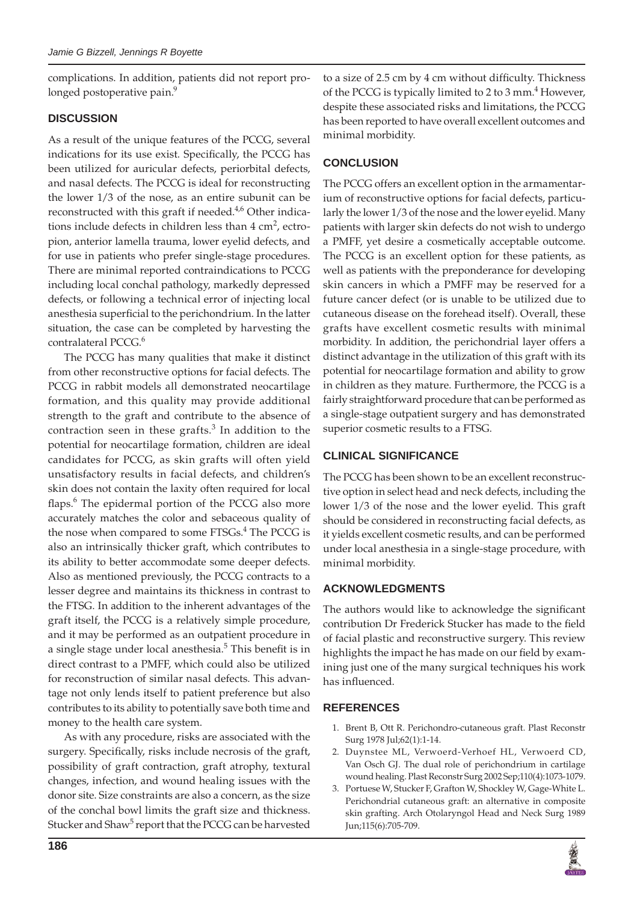complications. In addition, patients did not report prolonged postoperative pain.<sup>9</sup>

## **DISCUSSION**

As a result of the unique features of the PCCG, several indications for its use exist. Specifically, the PCCG has been utilized for auricular defects, periorbital defects, and nasal defects. The PCCG is ideal for reconstructing the lower 1/3 of the nose, as an entire subunit can be reconstructed with this graft if needed. $4,6$  Other indications include defects in children less than  $4 \text{ cm}^2$ , ectropion, anterior lamella trauma, lower eyelid defects, and for use in patients who prefer single-stage procedures. There are minimal reported contraindications to PCCG including local conchal pathology, markedly depressed defects, or following a technical error of injecting local anesthesia superficial to the perichondrium. In the latter situation, the case can be completed by harvesting the contralateral PCCG.<sup>6</sup>

The PCCG has many qualities that make it distinct from other reconstructive options for facial defects. The PCCG in rabbit models all demonstrated neocartilage formation, and this quality may provide additional strength to the graft and contribute to the absence of contraction seen in these grafts. $3$  In addition to the potential for neocartilage formation, children are ideal candidates for PCCG, as skin grafts will often yield unsatisfactory results in facial defects, and children's skin does not contain the laxity often required for local flaps.<sup>6</sup> The epidermal portion of the PCCG also more accurately matches the color and sebaceous quality of the nose when compared to some FTSGs.<sup>4</sup> The PCCG is also an intrinsically thicker graft, which contributes to its ability to better accommodate some deeper defects. Also as mentioned previously, the PCCG contracts to a lesser degree and maintains its thickness in contrast to the FTSG. In addition to the inherent advantages of the graft itself, the PCCG is a relatively simple procedure, and it may be performed as an outpatient procedure in a single stage under local anesthesia.<sup>5</sup> This benefit is in direct contrast to a PMFF, which could also be utilized for reconstruction of similar nasal defects. This advantage not only lends itself to patient preference but also contributes to its ability to potentially save both time and money to the health care system.

As with any procedure, risks are associated with the surgery. Specifically, risks include necrosis of the graft, possibility of graft contraction, graft atrophy, textural changes, infection, and wound healing issues with the donor site. Size constraints are also a concern, as the size of the conchal bowl limits the graft size and thickness. Stucker and Shaw<sup>5</sup> report that the PCCG can be harvested to a size of 2.5 cm by 4 cm without difficulty. Thickness of the PCCG is typically limited to 2 to 3 mm. $<sup>4</sup>$  However,</sup> despite these associated risks and limitations, the PCCG has been reported to have overall excellent outcomes and minimal morbidity.

# **CONCLUSION**

The PCCG offers an excellent option in the armamentarium of reconstructive options for facial defects, particularly the lower 1/3 of the nose and the lower eyelid. Many patients with larger skin defects do not wish to undergo a PMFF, yet desire a cosmetically acceptable outcome. The PCCG is an excellent option for these patients, as well as patients with the preponderance for developing skin cancers in which a PMFF may be reserved for a future cancer defect (or is unable to be utilized due to cutaneous disease on the forehead itself). Overall, these grafts have excellent cosmetic results with minimal morbidity. In addition, the perichondrial layer offers a distinct advantage in the utilization of this graft with its potential for neocartilage formation and ability to grow in children as they mature. Furthermore, the PCCG is a fairly straightforward procedure that can be performed as a single-stage outpatient surgery and has demonstrated superior cosmetic results to a FTSG.

## **CLINICAL SIGNIFICANCE**

The PCCG has been shown to be an excellent reconstructive option in select head and neck defects, including the lower 1/3 of the nose and the lower eyelid. This graft should be considered in reconstructing facial defects, as it yields excellent cosmetic results, and can be performed under local anesthesia in a single-stage procedure, with minimal morbidity.

## **ACKNOWLEDGMENTS**

The authors would like to acknowledge the significant contribution Dr Frederick Stucker has made to the field of facial plastic and reconstructive surgery. This review highlights the impact he has made on our field by examining just one of the many surgical techniques his work has influenced.

## **REFERENCES**

- 1. Brent B, Ott R. Perichondro-cutaneous graft. Plast Reconstr Surg 1978 Jul;62(1):1-14.
- 2. Duynstee ML, Verwoerd-Verhoef HL, Verwoerd CD, Van Osch GJ. The dual role of perichondrium in cartilage wound healing. Plast Reconstr Surg 2002 Sep;110(4):1073-1079.
- 3. Portuese W, Stucker F, Grafton W, Shockley W, Gage-White L. Perichondrial cutaneous graft: an alternative in composite skin grafting. Arch Otolaryngol Head and Neck Surg 1989 Jun;115(6):705-709.